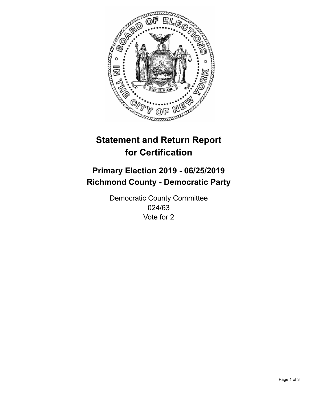

## **Statement and Return Report for Certification**

## **Primary Election 2019 - 06/25/2019 Richmond County - Democratic Party**

Democratic County Committee 024/63 Vote for 2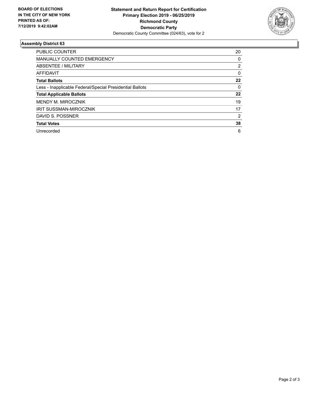

## **Assembly District 63**

| <b>PUBLIC COUNTER</b>                                    | 20             |
|----------------------------------------------------------|----------------|
| <b>MANUALLY COUNTED EMERGENCY</b>                        | 0              |
| ABSENTEE / MILITARY                                      | 2              |
| AFFIDAVIT                                                | 0              |
| <b>Total Ballots</b>                                     | 22             |
| Less - Inapplicable Federal/Special Presidential Ballots | 0              |
| <b>Total Applicable Ballots</b>                          | 22             |
| <b>MENDY M. MIROCZNIK</b>                                | 19             |
| <b>IRIT SUSSMAN-MIROCZNIK</b>                            | 17             |
| DAVID S. POSSNER                                         | $\overline{2}$ |
| <b>Total Votes</b>                                       | 38             |
| Unrecorded                                               | 6              |